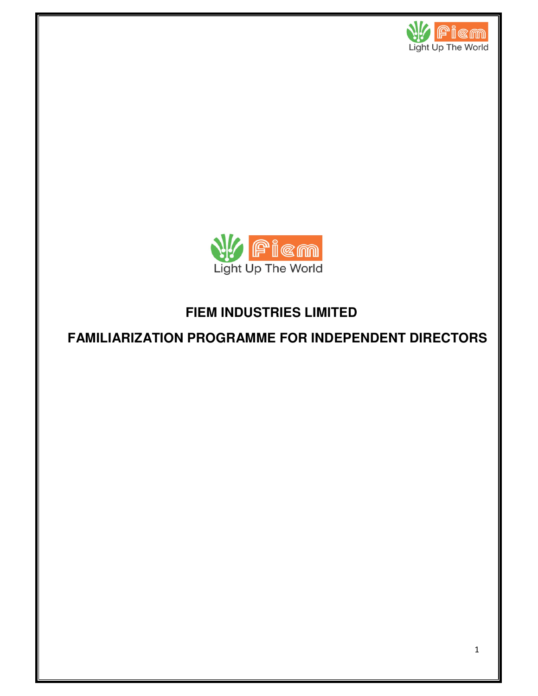



# **FIEM INDUSTRIES LIMITED**

## **FAMILIARIZATION PROGRAMME FOR INDEPENDENT DIRECTORS**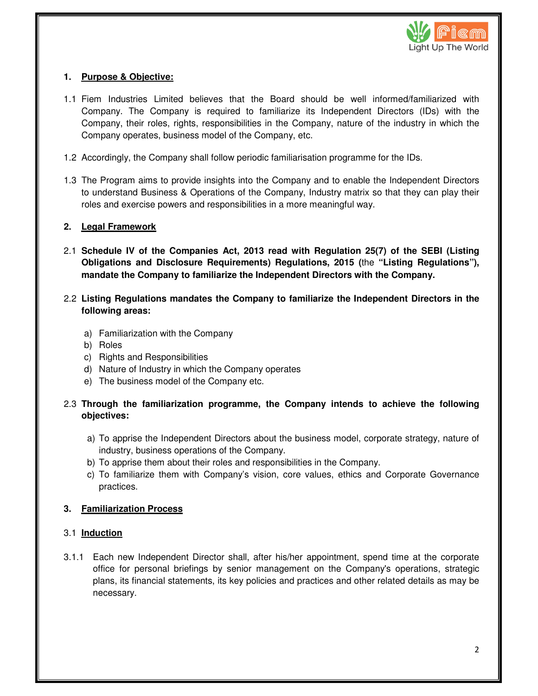

### **1. Purpose & Objective:**

- 1.1 Fiem Industries Limited believes that the Board should be well informed/familiarized with Company. The Company is required to familiarize its Independent Directors (IDs) with the Company, their roles, rights, responsibilities in the Company, nature of the industry in which the Company operates, business model of the Company, etc.
- 1.2 Accordingly, the Company shall follow periodic familiarisation programme for the IDs.
- 1.3 The Program aims to provide insights into the Company and to enable the Independent Directors to understand Business & Operations of the Company, Industry matrix so that they can play their roles and exercise powers and responsibilities in a more meaningful way.

#### **2. Legal Framework**

- 2.1 **Schedule IV of the Companies Act, 2013 read with Regulation 25(7) of the SEBI (Listing Obligations and Disclosure Requirements) Regulations, 2015 (**the **"Listing Regulations"), mandate the Company to familiarize the Independent Directors with the Company.**
- 2.2 **Listing Regulations mandates the Company to familiarize the Independent Directors in the following areas:** 
	- a) Familiarization with the Company
	- b) Roles
	- c) Rights and Responsibilities
	- d) Nature of Industry in which the Company operates
	- e) The business model of the Company etc.
- 2.3 **Through the familiarization programme, the Company intends to achieve the following objectives:** 
	- a) To apprise the Independent Directors about the business model, corporate strategy, nature of industry, business operations of the Company.
	- b) To apprise them about their roles and responsibilities in the Company.
	- c) To familiarize them with Company's vision, core values, ethics and Corporate Governance practices.

#### **3. Familiarization Process**

#### 3.1 **Induction**

3.1.1 Each new Independent Director shall, after his/her appointment, spend time at the corporate office for personal briefings by senior management on the Company's operations, strategic plans, its financial statements, its key policies and practices and other related details as may be necessary.